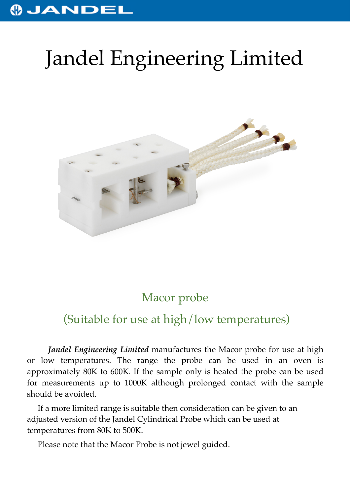## JANDEL

# Jandel Engineering Limited



### Macor probe

### (Suitable for use at high/low temperatures)

*Jandel Engineering Limited* manufactures the Macor probe for use at high or low temperatures. The range the probe can be used in an oven is approximately 80K to 600K. If the sample only is heated the probe can be used for measurements up to 1000K although prolonged contact with the sample should be avoided.

If a more limited range is suitable then consideration can be given to an adjusted version of the Jandel Cylindrical Probe which can be used at temperatures from 80K to 500K.

Please note that the Macor Probe is not jewel guided.